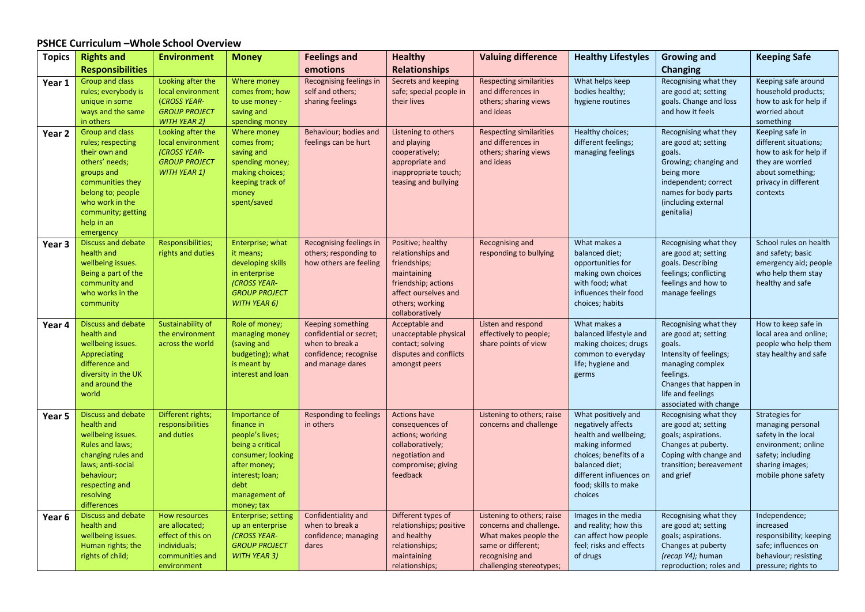| <b>Topics</b>     | <b>Rights and</b>                                                                                                                                                                                         | <b>Environment</b>                                                                                           | <b>Money</b>                                                                                                                                                      | <b>Feelings and</b>                                                                                                 | <b>Healthy</b>                                                                                                                                             | <b>Valuing difference</b>                                                                                                                           | <b>Healthy Lifestyles</b>                                                                                                                                                                       | <b>Growing and</b>                                                                                                                                                                          | <b>Keeping Safe</b>                                                                                                                                     |
|-------------------|-----------------------------------------------------------------------------------------------------------------------------------------------------------------------------------------------------------|--------------------------------------------------------------------------------------------------------------|-------------------------------------------------------------------------------------------------------------------------------------------------------------------|---------------------------------------------------------------------------------------------------------------------|------------------------------------------------------------------------------------------------------------------------------------------------------------|-----------------------------------------------------------------------------------------------------------------------------------------------------|-------------------------------------------------------------------------------------------------------------------------------------------------------------------------------------------------|---------------------------------------------------------------------------------------------------------------------------------------------------------------------------------------------|---------------------------------------------------------------------------------------------------------------------------------------------------------|
|                   | <b>Responsibilities</b>                                                                                                                                                                                   |                                                                                                              |                                                                                                                                                                   | emotions                                                                                                            | <b>Relationships</b>                                                                                                                                       |                                                                                                                                                     |                                                                                                                                                                                                 | Changing                                                                                                                                                                                    |                                                                                                                                                         |
| Year 1            | <b>Group and class</b><br>rules; everybody is<br>unique in some<br>ways and the same<br>in others                                                                                                         | Looking after the<br>local environment<br><b>(CROSS YEAR-</b><br><b>GROUP PROJECT</b><br><b>WITH YEAR 2)</b> | Where money<br>comes from; how<br>to use money -<br>saving and<br>spending money                                                                                  | Recognising feelings in<br>self and others;<br>sharing feelings                                                     | Secrets and keeping<br>safe; special people in<br>their lives                                                                                              | <b>Respecting similarities</b><br>and differences in<br>others; sharing views<br>and ideas                                                          | What helps keep<br>bodies healthy;<br>hygiene routines                                                                                                                                          | Recognising what they<br>are good at; setting<br>goals. Change and loss<br>and how it feels                                                                                                 | Keeping safe around<br>household products;<br>how to ask for help if<br>worried about<br>something                                                      |
| Year <sub>2</sub> | <b>Group and class</b><br>rules; respecting<br>their own and<br>others' needs;<br>groups and<br>communities they<br>belong to; people<br>who work in the<br>community; getting<br>help in an<br>emergency | Looking after the<br>local environment<br><b>(CROSS YEAR-</b><br><b>GROUP PROJECT</b><br><b>WITH YEAR 1)</b> | Where money<br>comes from;<br>saving and<br>spending money;<br>making choices;<br>keeping track of<br>money<br>spent/saved                                        | Behaviour; bodies and<br>feelings can be hurt                                                                       | Listening to others<br>and playing<br>cooperatively;<br>appropriate and<br>inappropriate touch;<br>teasing and bullying                                    | <b>Respecting similarities</b><br>and differences in<br>others; sharing views<br>and ideas                                                          | Healthy choices;<br>different feelings;<br>managing feelings                                                                                                                                    | Recognising what they<br>are good at; setting<br>goals.<br>Growing; changing and<br>being more<br>independent; correct<br>names for body parts<br>(including external<br>genitalia)         | Keeping safe in<br>different situations;<br>how to ask for help if<br>they are worried<br>about something;<br>privacy in different<br>contexts          |
| Year 3            | <b>Discuss and debate</b><br>health and<br>wellbeing issues.<br>Being a part of the<br>community and<br>who works in the<br>community                                                                     | Responsibilities;<br>rights and duties                                                                       | Enterprise; what<br>it means;<br>developing skills<br>in enterprise<br><b>(CROSS YEAR-</b><br><b>GROUP PROJECT</b><br><b>WITH YEAR 6)</b>                         | Recognising feelings in<br>others; responding to<br>how others are feeling                                          | Positive; healthy<br>relationships and<br>friendships;<br>maintaining<br>friendship; actions<br>affect ourselves and<br>others; working<br>collaboratively | Recognising and<br>responding to bullying                                                                                                           | What makes a<br>balanced diet;<br>opportunities for<br>making own choices<br>with food; what<br>influences their food<br>choices; habits                                                        | Recognising what they<br>are good at; setting<br>goals. Describing<br>feelings; conflicting<br>feelings and how to<br>manage feelings                                                       | School rules on health<br>and safety; basic<br>emergency aid; people<br>who help them stay<br>healthy and safe                                          |
| Year 4            | <b>Discuss and debate</b><br>health and<br>wellbeing issues.<br>Appreciating<br>difference and<br>diversity in the UK<br>and around the<br>world                                                          | Sustainability of<br>the environment<br>across the world                                                     | Role of money;<br>managing money<br>(saving and<br>budgeting); what<br>is meant by<br>interest and loan                                                           | <b>Keeping something</b><br>confidential or secret;<br>when to break a<br>confidence; recognise<br>and manage dares | Acceptable and<br>unacceptable physical<br>contact; solving<br>disputes and conflicts<br>amongst peers                                                     | Listen and respond<br>effectively to people;<br>share points of view                                                                                | What makes a<br>balanced lifestyle and<br>making choices; drugs<br>common to everyday<br>life; hygiene and<br>germs                                                                             | Recognising what they<br>are good at; setting<br>goals.<br>Intensity of feelings;<br>managing complex<br>feelings.<br>Changes that happen in<br>life and feelings<br>associated with change | How to keep safe in<br>local area and online;<br>people who help them<br>stay healthy and safe                                                          |
| Year 5            | <b>Discuss and debate</b><br>health and<br>wellbeing issues.<br>Rules and laws;<br>changing rules and<br>laws; anti-social<br>behaviour;<br>respecting and<br>resolving<br>differences                    | Different rights;<br>responsibilities<br>and duties                                                          | Importance of<br>finance in<br>people's lives;<br>being a critical<br>consumer; looking<br>after money;<br>interest; loan;<br>debt<br>management of<br>money; tax | <b>Responding to feelings</b><br>in others                                                                          | <b>Actions have</b><br>consequences of<br>actions; working<br>collaboratively;<br>negotiation and<br>compromise; giving<br>feedback                        | Listening to others; raise<br>concerns and challenge                                                                                                | What positively and<br>negatively affects<br>health and wellbeing;<br>making informed<br>choices; benefits of a<br>balanced diet;<br>different influences on<br>food; skills to make<br>choices | Recognising what they<br>are good at; setting<br>goals; aspirations.<br>Changes at puberty.<br>Coping with change and<br>transition; bereavement<br>and grief                               | <b>Strategies for</b><br>managing personal<br>safety in the local<br>environment; online<br>safety; including<br>sharing images;<br>mobile phone safety |
| Year 6            | <b>Discuss and debate</b><br>health and<br>wellbeing issues.<br>Human rights; the<br>rights of child;                                                                                                     | How resources<br>are allocated;<br>effect of this on<br>individuals;<br>communities and<br>environment       | <b>Enterprise; setting</b><br>up an enterprise<br><b>(CROSS YEAR-</b><br><b>GROUP PROJECT</b><br><b>WITH YEAR 3)</b>                                              | Confidentiality and<br>when to break a<br>confidence; managing<br>dares                                             | Different types of<br>relationships; positive<br>and healthy<br>relationships;<br>maintaining<br>relationships;                                            | Listening to others; raise<br>concerns and challenge.<br>What makes people the<br>same or different;<br>recognising and<br>challenging stereotypes; | Images in the media<br>and reality; how this<br>can affect how people<br>feel; risks and effects<br>of drugs                                                                                    | Recognising what they<br>are good at; setting<br>goals; aspirations.<br>Changes at puberty<br>(recap Y4); human<br>reproduction; roles and                                                  | Independence;<br>increased<br>responsibility; keeping<br>safe; influences on<br>behaviour; resisting<br>pressure; rights to                             |

## **PSHCE Curriculum –Whole School Overview**